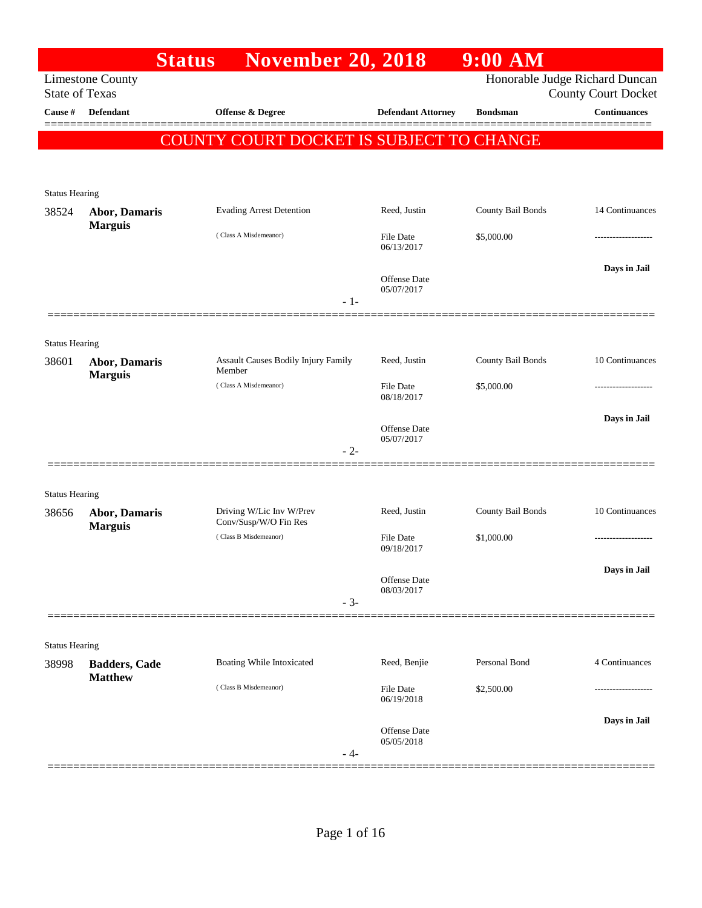|                                |                                        | <b>Status</b> | <b>November 20, 2018</b>                          |       |                            | 9:00 AM           |                                                              |
|--------------------------------|----------------------------------------|---------------|---------------------------------------------------|-------|----------------------------|-------------------|--------------------------------------------------------------|
| <b>State of Texas</b>          | <b>Limestone County</b>                |               |                                                   |       |                            |                   | Honorable Judge Richard Duncan<br><b>County Court Docket</b> |
| Cause #                        | <b>Defendant</b>                       |               | <b>Offense &amp; Degree</b>                       |       | <b>Defendant Attorney</b>  | <b>Bondsman</b>   | <b>Continuances</b>                                          |
|                                |                                        |               | COUNTY COURT DOCKET IS SUBJECT TO CHANGE          |       |                            |                   |                                                              |
|                                |                                        |               |                                                   |       |                            |                   |                                                              |
|                                |                                        |               |                                                   |       |                            |                   |                                                              |
| <b>Status Hearing</b><br>38524 | <b>Abor, Damaris</b>                   |               | <b>Evading Arrest Detention</b>                   |       | Reed, Justin               | County Bail Bonds | 14 Continuances                                              |
|                                | <b>Marguis</b>                         |               | (Class A Misdemeanor)                             |       | File Date                  | \$5,000.00        |                                                              |
|                                |                                        |               |                                                   |       | 06/13/2017                 |                   |                                                              |
|                                |                                        |               |                                                   |       | Offense Date               |                   | Days in Jail                                                 |
|                                |                                        |               |                                                   | $-1-$ | 05/07/2017                 |                   |                                                              |
|                                |                                        |               |                                                   |       |                            |                   |                                                              |
| <b>Status Hearing</b>          |                                        |               |                                                   |       |                            |                   |                                                              |
| 38601                          | <b>Abor, Damaris</b>                   |               | Assault Causes Bodily Injury Family<br>Member     |       | Reed, Justin               | County Bail Bonds | 10 Continuances                                              |
|                                | <b>Marguis</b>                         |               | (Class A Misdemeanor)                             |       | File Date                  | \$5,000.00        |                                                              |
|                                |                                        |               |                                                   |       | 08/18/2017                 |                   |                                                              |
|                                |                                        |               |                                                   |       | Offense Date               |                   | Days in Jail                                                 |
|                                |                                        |               |                                                   | $-2-$ | 05/07/2017                 |                   |                                                              |
|                                |                                        |               |                                                   |       |                            |                   |                                                              |
| <b>Status Hearing</b>          |                                        |               |                                                   |       |                            |                   |                                                              |
| 38656                          | <b>Abor, Damaris</b><br><b>Marguis</b> |               | Driving W/Lic Inv W/Prev<br>Conv/Susp/W/O Fin Res |       | Reed, Justin               | County Bail Bonds | 10 Continuances                                              |
|                                |                                        |               | (Class B Misdemeanor)                             |       | File Date<br>09/18/2017    | \$1,000.00        |                                                              |
|                                |                                        |               |                                                   |       |                            |                   | Days in Jail                                                 |
|                                |                                        |               |                                                   |       | Offense Date<br>08/03/2017 |                   |                                                              |
|                                |                                        |               |                                                   | $-3-$ |                            |                   |                                                              |
|                                |                                        |               |                                                   |       |                            |                   |                                                              |
| <b>Status Hearing</b>          |                                        |               |                                                   |       |                            |                   |                                                              |
| 38998                          | <b>Badders, Cade</b><br><b>Matthew</b> |               | Boating While Intoxicated                         |       | Reed, Benjie               | Personal Bond     | 4 Continuances                                               |
|                                |                                        |               | (Class B Misdemeanor)                             |       | File Date<br>06/19/2018    | \$2,500.00        |                                                              |
|                                |                                        |               |                                                   |       |                            |                   | Days in Jail                                                 |
|                                |                                        |               |                                                   |       | Offense Date<br>05/05/2018 |                   |                                                              |
|                                |                                        |               |                                                   | - 4-  |                            |                   |                                                              |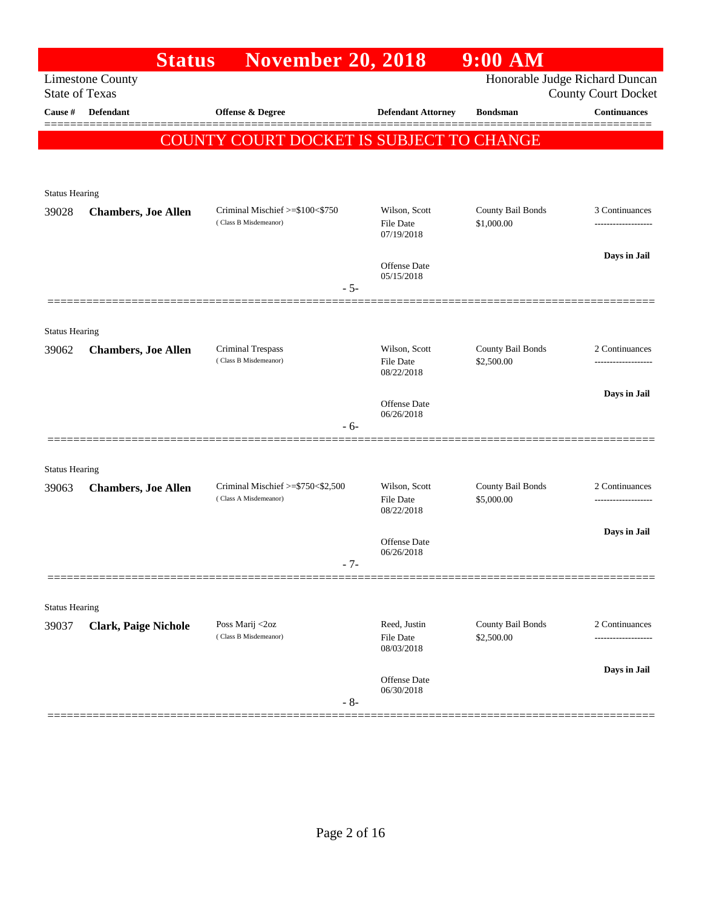|                                | <b>Status</b>               | <b>November 20, 2018</b>                 |                           | $9:00$ AM         |                                                              |
|--------------------------------|-----------------------------|------------------------------------------|---------------------------|-------------------|--------------------------------------------------------------|
| <b>State of Texas</b>          | <b>Limestone County</b>     |                                          |                           |                   | Honorable Judge Richard Duncan<br><b>County Court Docket</b> |
| Cause #                        | <b>Defendant</b>            | <b>Offense &amp; Degree</b>              | <b>Defendant Attorney</b> | <b>Bondsman</b>   | <b>Continuances</b>                                          |
|                                |                             | COUNTY COURT DOCKET IS SUBJECT TO CHANGE |                           |                   |                                                              |
|                                |                             |                                          |                           |                   |                                                              |
|                                |                             |                                          |                           |                   |                                                              |
| <b>Status Hearing</b><br>39028 | <b>Chambers, Joe Allen</b>  | Criminal Mischief >=\$100<\$750          | Wilson, Scott             | County Bail Bonds | 3 Continuances                                               |
|                                |                             | (Class B Misdemeanor)                    | File Date<br>07/19/2018   | \$1,000.00        | -------------------                                          |
|                                |                             |                                          | <b>Offense</b> Date       |                   | Days in Jail                                                 |
|                                |                             | $-5-$                                    | 05/15/2018                |                   |                                                              |
|                                |                             |                                          |                           |                   |                                                              |
| <b>Status Hearing</b>          |                             |                                          |                           |                   |                                                              |
| 39062                          | <b>Chambers, Joe Allen</b>  | Criminal Trespass                        | Wilson, Scott             | County Bail Bonds | 2 Continuances                                               |
|                                |                             | (Class B Misdemeanor)                    | File Date<br>08/22/2018   | \$2,500.00        |                                                              |
|                                |                             |                                          | Offense Date              |                   | Days in Jail                                                 |
|                                |                             | $-6-$                                    | 06/26/2018                |                   |                                                              |
|                                |                             |                                          |                           |                   |                                                              |
| <b>Status Hearing</b>          |                             |                                          |                           |                   |                                                              |
| 39063                          | <b>Chambers, Joe Allen</b>  | Criminal Mischief >=\$750<\$2,500        | Wilson, Scott             | County Bail Bonds | 2 Continuances                                               |
|                                |                             | (Class A Misdemeanor)                    | File Date<br>08/22/2018   | \$5,000.00        | -----------------                                            |
|                                |                             |                                          | Offense Date              |                   | Days in Jail                                                 |
|                                |                             | $-7-$                                    | 06/26/2018                |                   |                                                              |
|                                |                             |                                          |                           |                   |                                                              |
| <b>Status Hearing</b>          |                             |                                          |                           |                   |                                                              |
| 39037                          | <b>Clark, Paige Nichole</b> | Poss Marij <2oz                          | Reed, Justin              | County Bail Bonds | 2 Continuances                                               |
|                                |                             | (Class B Misdemeanor)                    | File Date<br>08/03/2018   | \$2,500.00        |                                                              |
|                                |                             |                                          | Offense Date              |                   | Days in Jail                                                 |
|                                |                             | $-8-$                                    | 06/30/2018                |                   |                                                              |
|                                |                             |                                          |                           |                   |                                                              |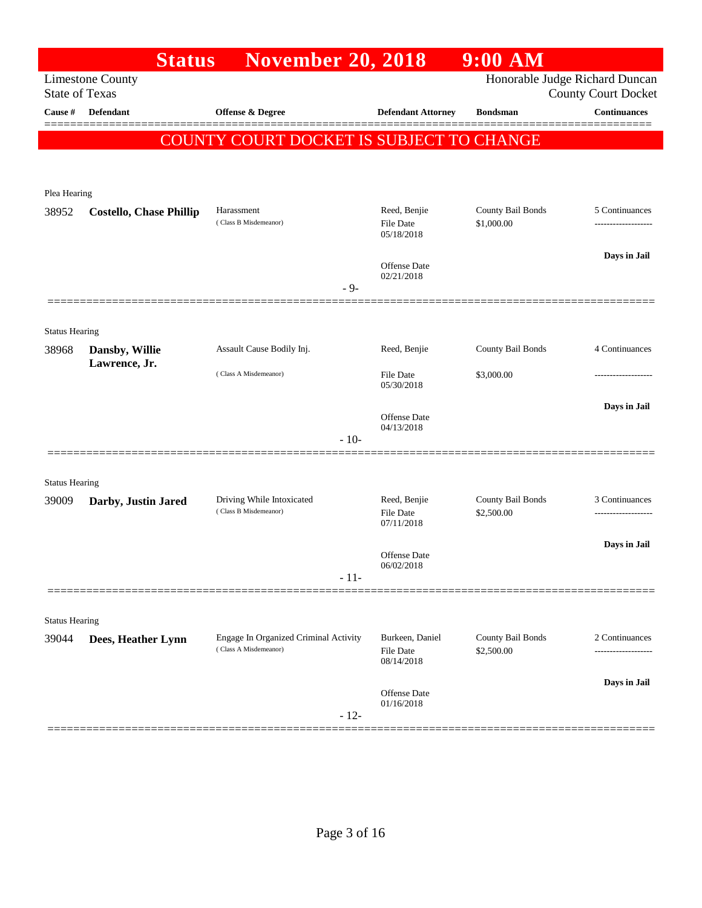|                                | <b>Status</b>                  | <b>November 20, 2018</b>                 |                                   | $9:00$ AM         |                                                              |
|--------------------------------|--------------------------------|------------------------------------------|-----------------------------------|-------------------|--------------------------------------------------------------|
| <b>State of Texas</b>          | <b>Limestone County</b>        |                                          |                                   |                   | Honorable Judge Richard Duncan<br><b>County Court Docket</b> |
| Cause #                        | <b>Defendant</b>               | Offense & Degree                         | <b>Defendant Attorney</b>         | <b>Bondsman</b>   | <b>Continuances</b>                                          |
|                                |                                | COUNTY COURT DOCKET IS SUBJECT TO CHANGE |                                   |                   |                                                              |
|                                |                                |                                          |                                   |                   |                                                              |
| Plea Hearing                   |                                |                                          |                                   |                   |                                                              |
| 38952                          | <b>Costello, Chase Phillip</b> | Harassment                               | Reed, Benjie                      | County Bail Bonds | 5 Continuances                                               |
|                                |                                | (Class B Misdemeanor)                    | <b>File Date</b><br>05/18/2018    | \$1,000.00        |                                                              |
|                                |                                |                                          |                                   |                   | Days in Jail                                                 |
|                                |                                |                                          | <b>Offense Date</b><br>02/21/2018 |                   |                                                              |
|                                |                                | - 9-                                     |                                   |                   |                                                              |
|                                |                                |                                          |                                   |                   |                                                              |
| <b>Status Hearing</b><br>38968 | Dansby, Willie                 | Assault Cause Bodily Inj.                | Reed, Benjie                      | County Bail Bonds | 4 Continuances                                               |
|                                | Lawrence, Jr.                  | (Class A Misdemeanor)                    | <b>File Date</b>                  | \$3,000.00        |                                                              |
|                                |                                |                                          | 05/30/2018                        |                   |                                                              |
|                                |                                |                                          | Offense Date                      |                   | Days in Jail                                                 |
|                                |                                | $-10-$                                   | 04/13/2018                        |                   |                                                              |
|                                |                                |                                          |                                   |                   |                                                              |
| <b>Status Hearing</b>          |                                |                                          |                                   |                   |                                                              |
| 39009                          | Darby, Justin Jared            | Driving While Intoxicated                | Reed, Benjie                      | County Bail Bonds | 3 Continuances                                               |
|                                |                                | (Class B Misdemeanor)                    | <b>File Date</b><br>07/11/2018    | \$2,500.00        |                                                              |
|                                |                                |                                          | <b>Offense Date</b>               |                   | Days in Jail                                                 |
|                                |                                | $-11-$                                   | 06/02/2018                        |                   |                                                              |
|                                |                                |                                          |                                   |                   |                                                              |
| <b>Status Hearing</b>          |                                |                                          |                                   |                   |                                                              |
| 39044                          | Dees, Heather Lynn             | Engage In Organized Criminal Activity    | Burkeen, Daniel                   | County Bail Bonds | 2 Continuances                                               |
|                                |                                | (Class A Misdemeanor)                    | <b>File Date</b><br>08/14/2018    | \$2,500.00        | -----------------                                            |
|                                |                                |                                          |                                   |                   | Days in Jail                                                 |
|                                |                                |                                          | Offense Date<br>01/16/2018        |                   |                                                              |
|                                |                                | $-12-$                                   |                                   |                   |                                                              |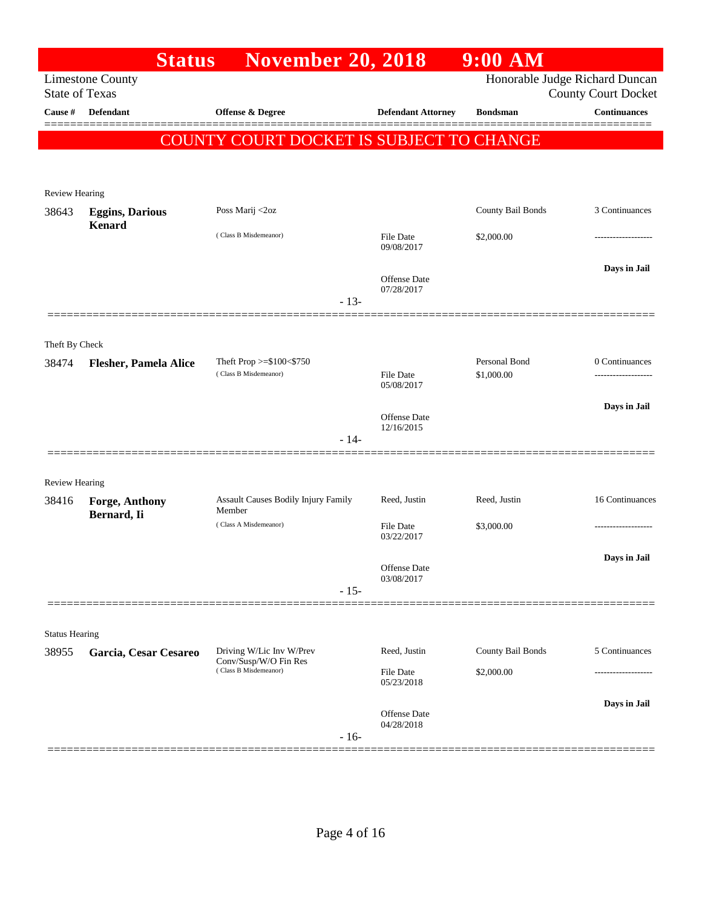|                         | <b>Status</b>                           | <b>November 20, 2018</b>                          |                                   | 9:00 AM                     |                                                              |
|-------------------------|-----------------------------------------|---------------------------------------------------|-----------------------------------|-----------------------------|--------------------------------------------------------------|
| <b>State of Texas</b>   | <b>Limestone County</b>                 |                                                   |                                   |                             | Honorable Judge Richard Duncan<br><b>County Court Docket</b> |
| Cause #                 | <b>Defendant</b>                        | Offense & Degree                                  | <b>Defendant Attorney</b>         | <b>Bondsman</b>             | <b>Continuances</b>                                          |
|                         |                                         | COUNTY COURT DOCKET IS SUBJECT TO CHANGE          |                                   |                             |                                                              |
|                         |                                         |                                                   |                                   |                             |                                                              |
| <b>Review Hearing</b>   |                                         |                                                   |                                   |                             |                                                              |
| 38643                   | <b>Eggins, Darious</b><br><b>Kenard</b> | Poss Marij <2oz                                   |                                   | County Bail Bonds           | 3 Continuances                                               |
|                         |                                         | (Class B Misdemeanor)                             | File Date<br>09/08/2017           | \$2,000.00                  |                                                              |
|                         |                                         |                                                   | <b>Offense</b> Date<br>07/28/2017 |                             | Days in Jail                                                 |
|                         |                                         | $-13-$                                            |                                   |                             |                                                              |
|                         |                                         |                                                   |                                   |                             |                                                              |
| Theft By Check<br>38474 | <b>Flesher, Pamela Alice</b>            | Theft Prop >=\$100<\$750<br>(Class B Misdemeanor) | <b>File Date</b>                  | Personal Bond<br>\$1,000.00 | 0 Continuances                                               |
|                         |                                         |                                                   | 05/08/2017                        |                             | Days in Jail                                                 |
|                         |                                         |                                                   | <b>Offense</b> Date<br>12/16/2015 |                             |                                                              |
|                         |                                         | $-14-$                                            |                                   |                             |                                                              |
| <b>Review Hearing</b>   |                                         |                                                   |                                   |                             |                                                              |
| 38416                   | Forge, Anthony<br>Bernard, Ii           | Assault Causes Bodily Injury Family<br>Member     | Reed, Justin                      | Reed, Justin                | 16 Continuances                                              |
|                         |                                         | (Class A Misdemeanor)                             | <b>File Date</b><br>03/22/2017    | \$3,000.00                  |                                                              |
|                         |                                         |                                                   | Offense Date                      |                             | Days in Jail                                                 |
|                         |                                         | $-15-$                                            | 03/08/2017                        |                             |                                                              |
|                         |                                         |                                                   |                                   |                             |                                                              |
| <b>Status Hearing</b>   |                                         |                                                   |                                   |                             |                                                              |
| 38955                   | Garcia, Cesar Cesareo                   | Driving W/Lic Inv W/Prev<br>Conv/Susp/W/O Fin Res | Reed, Justin                      | County Bail Bonds           | 5 Continuances                                               |
|                         |                                         | (Class B Misdemeanor)                             | File Date<br>05/23/2018           | \$2,000.00                  |                                                              |
|                         |                                         | $-16-$                                            | Offense Date<br>04/28/2018        |                             | Days in Jail                                                 |
|                         |                                         |                                                   |                                   |                             |                                                              |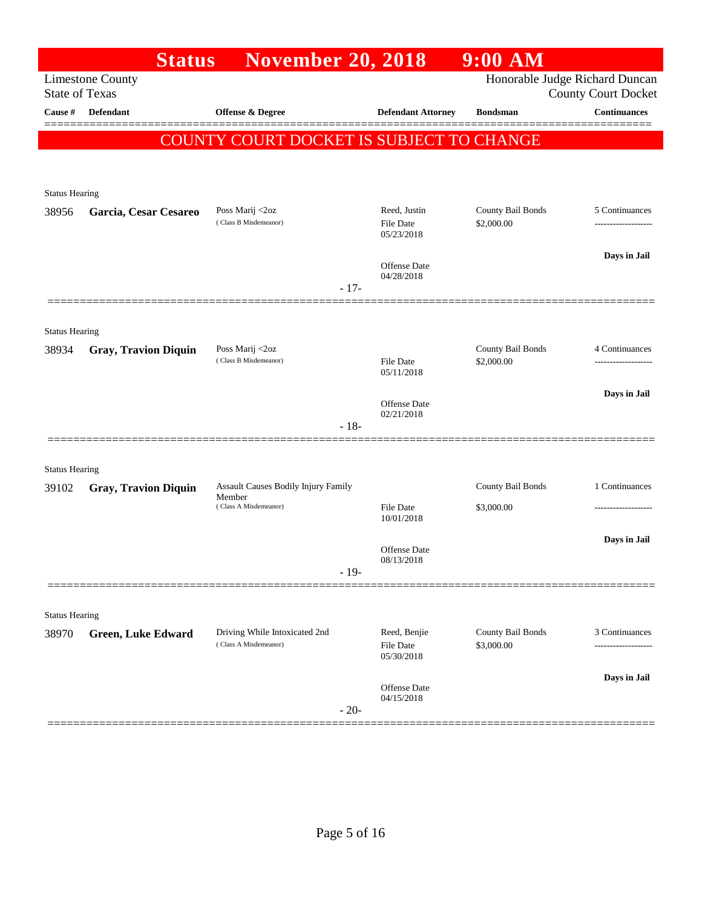|                       | <b>Status</b>               | <b>November 20, 2018</b>                      |                                | 9:00 AM           |                                                              |
|-----------------------|-----------------------------|-----------------------------------------------|--------------------------------|-------------------|--------------------------------------------------------------|
| <b>State of Texas</b> | <b>Limestone County</b>     |                                               |                                |                   | Honorable Judge Richard Duncan<br><b>County Court Docket</b> |
| Cause #               | <b>Defendant</b>            | <b>Offense &amp; Degree</b>                   | <b>Defendant Attorney</b>      | <b>Bondsman</b>   | <b>Continuances</b>                                          |
|                       |                             | COUNTY COURT DOCKET IS SUBJECT TO CHANGE      |                                |                   |                                                              |
|                       |                             |                                               |                                |                   |                                                              |
| <b>Status Hearing</b> |                             |                                               |                                |                   |                                                              |
| 38956                 | Garcia, Cesar Cesareo       | Poss Marij <2oz                               | Reed, Justin                   | County Bail Bonds | 5 Continuances                                               |
|                       |                             | (Class B Misdemeanor)                         | <b>File Date</b><br>05/23/2018 | \$2,000.00        | -------------------                                          |
|                       |                             |                                               | Offense Date                   |                   | Days in Jail                                                 |
|                       |                             | $-17-$                                        | 04/28/2018                     |                   |                                                              |
|                       |                             |                                               |                                |                   |                                                              |
| <b>Status Hearing</b> |                             |                                               |                                |                   |                                                              |
| 38934                 | <b>Gray, Travion Diquin</b> | Poss Marij <2oz<br>(Class B Misdemeanor)      |                                | County Bail Bonds | 4 Continuances                                               |
|                       |                             |                                               | File Date<br>05/11/2018        | \$2,000.00        | ------------------                                           |
|                       |                             |                                               | Offense Date                   |                   | Days in Jail                                                 |
|                       |                             | $-18-$                                        | 02/21/2018                     |                   |                                                              |
|                       |                             |                                               |                                |                   |                                                              |
| <b>Status Hearing</b> |                             |                                               |                                |                   |                                                              |
| 39102                 | <b>Gray, Travion Diquin</b> | Assault Causes Bodily Injury Family<br>Member |                                | County Bail Bonds | 1 Continuances                                               |
|                       |                             | (Class A Misdemeanor)                         | <b>File Date</b><br>10/01/2018 | \$3,000.00        | -------------------                                          |
|                       |                             |                                               |                                |                   | Days in Jail                                                 |
|                       |                             | $-19-$                                        | Offense Date<br>08/13/2018     |                   |                                                              |
|                       |                             |                                               |                                |                   |                                                              |
| <b>Status Hearing</b> |                             |                                               |                                |                   |                                                              |
| 38970                 | <b>Green, Luke Edward</b>   | Driving While Intoxicated 2nd                 | Reed, Benjie                   | County Bail Bonds | 3 Continuances                                               |
|                       |                             | (Class A Misdemeanor)                         | File Date<br>05/30/2018        | \$3,000.00        | .                                                            |
|                       |                             |                                               | Offense Date                   |                   | Days in Jail                                                 |
|                       |                             | $-20-$                                        | 04/15/2018                     |                   |                                                              |
|                       |                             |                                               |                                |                   |                                                              |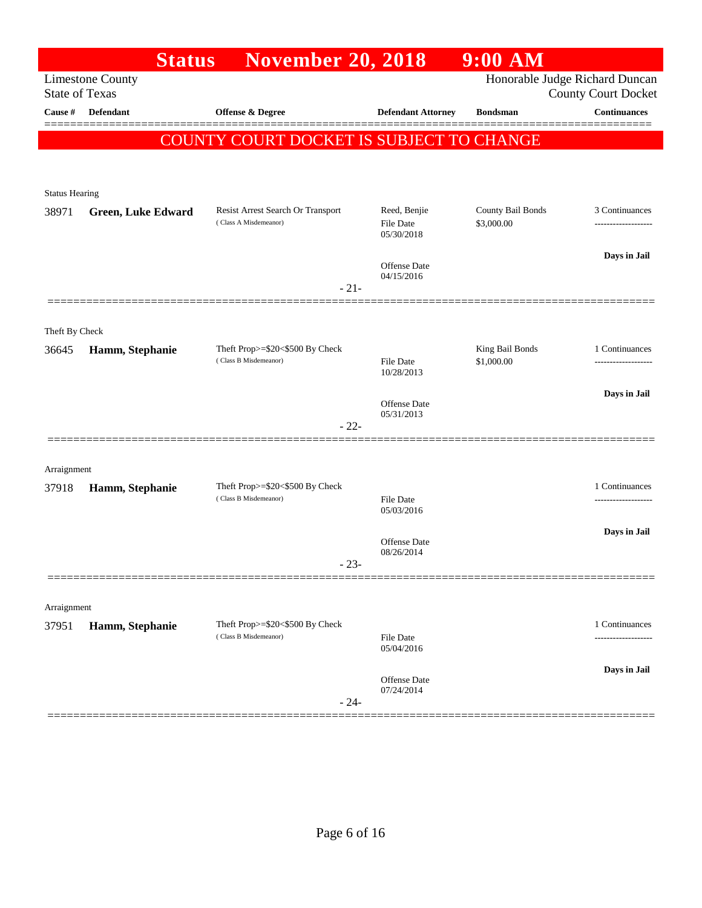| Honorable Judge Richard Duncan<br><b>Limestone County</b><br><b>State of Texas</b><br><b>County Court Docket</b><br><b>Continuances</b><br>Cause #<br><b>Defendant</b><br>Offense & Degree<br><b>Defendant Attorney</b><br><b>Bondsman</b><br>COUNTY COURT DOCKET IS SUBJECT TO CHANGE<br><b>Status Hearing</b><br>Resist Arrest Search Or Transport<br>Reed, Benjie<br>County Bail Bonds<br>3 Continuances<br>38971<br><b>Green, Luke Edward</b><br>(Class A Misdemeanor)<br>\$3,000.00<br>File Date<br>-------------------<br>05/30/2018<br>Days in Jail<br>Offense Date<br>04/15/2016<br>$-21-$<br>Theft By Check<br>Theft Prop>=\$20<\$500 By Check<br>King Bail Bonds<br>1 Continuances<br>Hamm, Stephanie<br>36645<br>(Class B Misdemeanor)<br>\$1,000.00<br><b>File Date</b><br>10/28/2013<br>Days in Jail<br>Offense Date<br>05/31/2013<br>$-22-$<br>Arraignment<br>Theft Prop>=\$20<\$500 By Check<br>1 Continuances<br>37918<br>Hamm, Stephanie<br>(Class B Misdemeanor)<br><b>File Date</b><br>05/03/2016<br>Days in Jail<br><b>Offense</b> Date<br>08/26/2014<br>$-23-$<br>Arraignment<br>Theft Prop>=\$20<\$500 By Check<br>1 Continuances<br>Hamm, Stephanie<br>37951<br>(Class B Misdemeanor)<br>File Date<br>------------<br>05/04/2016<br>Days in Jail<br>Offense Date<br>07/24/2014<br>$-24-$ | <b>Status</b> | <b>November 20, 2018</b> | $9:00$ AM |  |
|-----------------------------------------------------------------------------------------------------------------------------------------------------------------------------------------------------------------------------------------------------------------------------------------------------------------------------------------------------------------------------------------------------------------------------------------------------------------------------------------------------------------------------------------------------------------------------------------------------------------------------------------------------------------------------------------------------------------------------------------------------------------------------------------------------------------------------------------------------------------------------------------------------------------------------------------------------------------------------------------------------------------------------------------------------------------------------------------------------------------------------------------------------------------------------------------------------------------------------------------------------------------------------------------------------------------|---------------|--------------------------|-----------|--|
|                                                                                                                                                                                                                                                                                                                                                                                                                                                                                                                                                                                                                                                                                                                                                                                                                                                                                                                                                                                                                                                                                                                                                                                                                                                                                                                 |               |                          |           |  |
|                                                                                                                                                                                                                                                                                                                                                                                                                                                                                                                                                                                                                                                                                                                                                                                                                                                                                                                                                                                                                                                                                                                                                                                                                                                                                                                 |               |                          |           |  |
|                                                                                                                                                                                                                                                                                                                                                                                                                                                                                                                                                                                                                                                                                                                                                                                                                                                                                                                                                                                                                                                                                                                                                                                                                                                                                                                 |               |                          |           |  |
|                                                                                                                                                                                                                                                                                                                                                                                                                                                                                                                                                                                                                                                                                                                                                                                                                                                                                                                                                                                                                                                                                                                                                                                                                                                                                                                 |               |                          |           |  |
|                                                                                                                                                                                                                                                                                                                                                                                                                                                                                                                                                                                                                                                                                                                                                                                                                                                                                                                                                                                                                                                                                                                                                                                                                                                                                                                 |               |                          |           |  |
|                                                                                                                                                                                                                                                                                                                                                                                                                                                                                                                                                                                                                                                                                                                                                                                                                                                                                                                                                                                                                                                                                                                                                                                                                                                                                                                 |               |                          |           |  |
|                                                                                                                                                                                                                                                                                                                                                                                                                                                                                                                                                                                                                                                                                                                                                                                                                                                                                                                                                                                                                                                                                                                                                                                                                                                                                                                 |               |                          |           |  |
|                                                                                                                                                                                                                                                                                                                                                                                                                                                                                                                                                                                                                                                                                                                                                                                                                                                                                                                                                                                                                                                                                                                                                                                                                                                                                                                 |               |                          |           |  |
|                                                                                                                                                                                                                                                                                                                                                                                                                                                                                                                                                                                                                                                                                                                                                                                                                                                                                                                                                                                                                                                                                                                                                                                                                                                                                                                 |               |                          |           |  |
|                                                                                                                                                                                                                                                                                                                                                                                                                                                                                                                                                                                                                                                                                                                                                                                                                                                                                                                                                                                                                                                                                                                                                                                                                                                                                                                 |               |                          |           |  |
|                                                                                                                                                                                                                                                                                                                                                                                                                                                                                                                                                                                                                                                                                                                                                                                                                                                                                                                                                                                                                                                                                                                                                                                                                                                                                                                 |               |                          |           |  |
|                                                                                                                                                                                                                                                                                                                                                                                                                                                                                                                                                                                                                                                                                                                                                                                                                                                                                                                                                                                                                                                                                                                                                                                                                                                                                                                 |               |                          |           |  |
|                                                                                                                                                                                                                                                                                                                                                                                                                                                                                                                                                                                                                                                                                                                                                                                                                                                                                                                                                                                                                                                                                                                                                                                                                                                                                                                 |               |                          |           |  |
|                                                                                                                                                                                                                                                                                                                                                                                                                                                                                                                                                                                                                                                                                                                                                                                                                                                                                                                                                                                                                                                                                                                                                                                                                                                                                                                 |               |                          |           |  |
|                                                                                                                                                                                                                                                                                                                                                                                                                                                                                                                                                                                                                                                                                                                                                                                                                                                                                                                                                                                                                                                                                                                                                                                                                                                                                                                 |               |                          |           |  |
|                                                                                                                                                                                                                                                                                                                                                                                                                                                                                                                                                                                                                                                                                                                                                                                                                                                                                                                                                                                                                                                                                                                                                                                                                                                                                                                 |               |                          |           |  |
|                                                                                                                                                                                                                                                                                                                                                                                                                                                                                                                                                                                                                                                                                                                                                                                                                                                                                                                                                                                                                                                                                                                                                                                                                                                                                                                 |               |                          |           |  |
|                                                                                                                                                                                                                                                                                                                                                                                                                                                                                                                                                                                                                                                                                                                                                                                                                                                                                                                                                                                                                                                                                                                                                                                                                                                                                                                 |               |                          |           |  |
|                                                                                                                                                                                                                                                                                                                                                                                                                                                                                                                                                                                                                                                                                                                                                                                                                                                                                                                                                                                                                                                                                                                                                                                                                                                                                                                 |               |                          |           |  |
|                                                                                                                                                                                                                                                                                                                                                                                                                                                                                                                                                                                                                                                                                                                                                                                                                                                                                                                                                                                                                                                                                                                                                                                                                                                                                                                 |               |                          |           |  |
|                                                                                                                                                                                                                                                                                                                                                                                                                                                                                                                                                                                                                                                                                                                                                                                                                                                                                                                                                                                                                                                                                                                                                                                                                                                                                                                 |               |                          |           |  |
|                                                                                                                                                                                                                                                                                                                                                                                                                                                                                                                                                                                                                                                                                                                                                                                                                                                                                                                                                                                                                                                                                                                                                                                                                                                                                                                 |               |                          |           |  |
|                                                                                                                                                                                                                                                                                                                                                                                                                                                                                                                                                                                                                                                                                                                                                                                                                                                                                                                                                                                                                                                                                                                                                                                                                                                                                                                 |               |                          |           |  |
|                                                                                                                                                                                                                                                                                                                                                                                                                                                                                                                                                                                                                                                                                                                                                                                                                                                                                                                                                                                                                                                                                                                                                                                                                                                                                                                 |               |                          |           |  |
|                                                                                                                                                                                                                                                                                                                                                                                                                                                                                                                                                                                                                                                                                                                                                                                                                                                                                                                                                                                                                                                                                                                                                                                                                                                                                                                 |               |                          |           |  |
|                                                                                                                                                                                                                                                                                                                                                                                                                                                                                                                                                                                                                                                                                                                                                                                                                                                                                                                                                                                                                                                                                                                                                                                                                                                                                                                 |               |                          |           |  |
|                                                                                                                                                                                                                                                                                                                                                                                                                                                                                                                                                                                                                                                                                                                                                                                                                                                                                                                                                                                                                                                                                                                                                                                                                                                                                                                 |               |                          |           |  |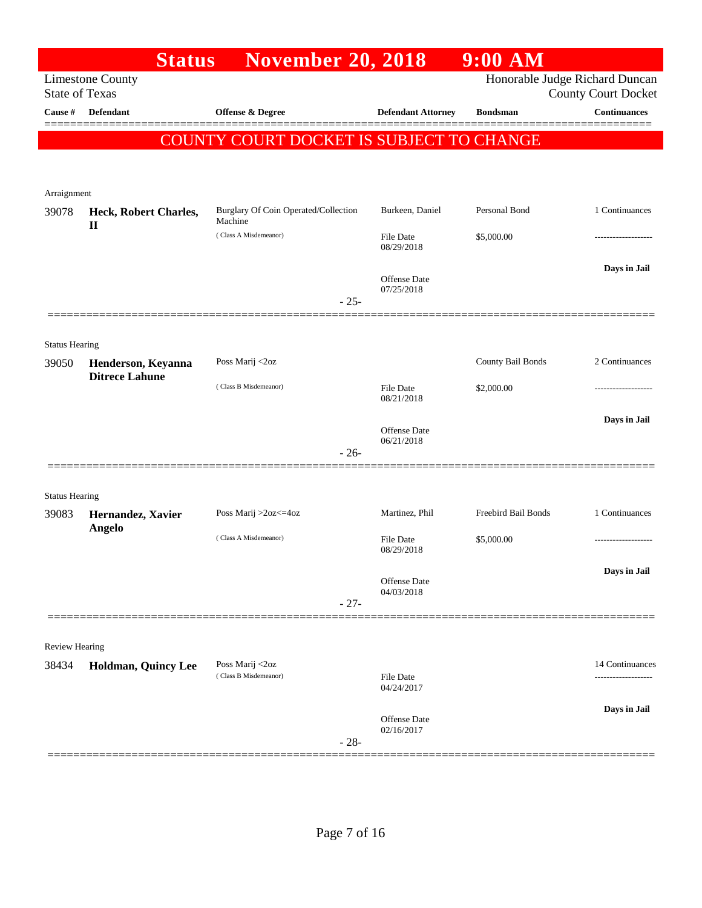|                       | <b>Status</b>                               | <b>November 20, 2018</b>                 |                                   | $9:00$ AM           |                                                              |
|-----------------------|---------------------------------------------|------------------------------------------|-----------------------------------|---------------------|--------------------------------------------------------------|
| <b>State of Texas</b> | <b>Limestone County</b>                     |                                          |                                   |                     | Honorable Judge Richard Duncan<br><b>County Court Docket</b> |
| Cause #               | <b>Defendant</b>                            | <b>Offense &amp; Degree</b>              | <b>Defendant Attorney</b>         | <b>Bondsman</b>     | <b>Continuances</b>                                          |
|                       |                                             | COUNTY COURT DOCKET IS SUBJECT TO CHANGE |                                   |                     |                                                              |
|                       |                                             |                                          |                                   |                     |                                                              |
|                       |                                             |                                          |                                   |                     |                                                              |
| Arraignment           |                                             | Burglary Of Coin Operated/Collection     | Burkeen, Daniel                   | Personal Bond       | 1 Continuances                                               |
| 39078                 | Heck, Robert Charles,<br>$\mathbf{I}$       | Machine                                  |                                   |                     |                                                              |
|                       |                                             | (Class A Misdemeanor)                    | <b>File Date</b><br>08/29/2018    | \$5,000.00          |                                                              |
|                       |                                             |                                          |                                   |                     | Days in Jail                                                 |
|                       |                                             |                                          | Offense Date<br>07/25/2018        |                     |                                                              |
|                       |                                             | $-25-$                                   |                                   |                     |                                                              |
|                       |                                             |                                          |                                   |                     |                                                              |
| <b>Status Hearing</b> |                                             |                                          |                                   |                     |                                                              |
| 39050                 | Henderson, Keyanna<br><b>Ditrece Lahune</b> | Poss Marij <2oz                          |                                   | County Bail Bonds   | 2 Continuances                                               |
|                       |                                             | (Class B Misdemeanor)                    | <b>File Date</b><br>08/21/2018    | \$2,000.00          |                                                              |
|                       |                                             |                                          |                                   |                     | Days in Jail                                                 |
|                       |                                             |                                          | <b>Offense Date</b><br>06/21/2018 |                     |                                                              |
|                       |                                             | $-26-$                                   |                                   |                     |                                                              |
|                       |                                             |                                          |                                   |                     |                                                              |
| <b>Status Hearing</b> |                                             |                                          |                                   | Freebird Bail Bonds |                                                              |
| 39083                 | Hernandez, Xavier<br><b>Angelo</b>          | Poss Marij >2oz<=4oz                     | Martinez, Phil                    |                     | 1 Continuances                                               |
|                       |                                             | (Class A Misdemeanor)                    | <b>File Date</b><br>08/29/2018    | \$5,000.00          |                                                              |
|                       |                                             |                                          |                                   |                     | Days in Jail                                                 |
|                       |                                             |                                          | <b>Offense Date</b><br>04/03/2018 |                     |                                                              |
|                       |                                             | $-27-$                                   |                                   |                     |                                                              |
|                       |                                             |                                          |                                   |                     |                                                              |
| <b>Review Hearing</b> |                                             |                                          |                                   |                     |                                                              |
| 38434                 | <b>Holdman, Quincy Lee</b>                  | Poss Marij <2oz<br>(Class B Misdemeanor) | <b>File Date</b>                  |                     | 14 Continuances                                              |
|                       |                                             |                                          | 04/24/2017                        |                     |                                                              |
|                       |                                             |                                          | <b>Offense Date</b>               |                     | Days in Jail                                                 |
|                       |                                             | $-28-$                                   | 02/16/2017                        |                     |                                                              |
|                       |                                             |                                          |                                   |                     |                                                              |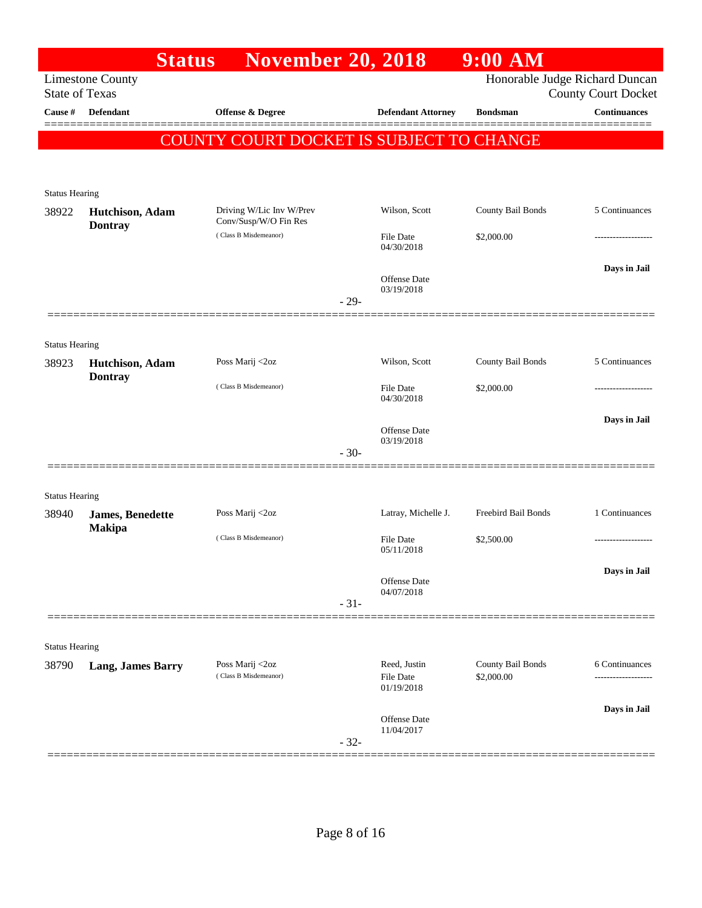|                                | <b>Status</b>                     | <b>November 20, 2018</b>                          |        |                                | $9:00$ AM           |                                                   |
|--------------------------------|-----------------------------------|---------------------------------------------------|--------|--------------------------------|---------------------|---------------------------------------------------|
| <b>State of Texas</b>          | <b>Limestone County</b>           |                                                   |        |                                |                     | Honorable Judge Richard Duncan                    |
| Cause #                        | <b>Defendant</b>                  | Offense & Degree                                  |        | <b>Defendant Attorney</b>      | <b>Bondsman</b>     | <b>County Court Docket</b><br><b>Continuances</b> |
|                                |                                   |                                                   |        |                                |                     |                                                   |
|                                |                                   | COUNTY COURT DOCKET IS SUBJECT TO CHANGE          |        |                                |                     |                                                   |
|                                |                                   |                                                   |        |                                |                     |                                                   |
| <b>Status Hearing</b>          |                                   |                                                   |        |                                |                     |                                                   |
| 38922                          | Hutchison, Adam<br><b>Dontray</b> | Driving W/Lic Inv W/Prev<br>Conv/Susp/W/O Fin Res |        | Wilson, Scott                  | County Bail Bonds   | 5 Continuances                                    |
|                                |                                   | (Class B Misdemeanor)                             |        | <b>File Date</b><br>04/30/2018 | \$2,000.00          |                                                   |
|                                |                                   |                                                   |        | Offense Date                   |                     | Days in Jail                                      |
|                                |                                   |                                                   | $-29-$ | 03/19/2018                     |                     |                                                   |
|                                |                                   |                                                   |        |                                |                     |                                                   |
| <b>Status Hearing</b>          |                                   |                                                   |        |                                |                     |                                                   |
| 38923                          | Hutchison, Adam                   | Poss Marij <2oz                                   |        | Wilson, Scott                  | County Bail Bonds   | 5 Continuances                                    |
|                                | <b>Dontray</b>                    | (Class B Misdemeanor)                             |        | <b>File Date</b>               | \$2,000.00          |                                                   |
|                                |                                   |                                                   |        | 04/30/2018                     |                     |                                                   |
|                                |                                   |                                                   |        | <b>Offense Date</b>            |                     | Days in Jail                                      |
|                                |                                   |                                                   | $-30-$ | 03/19/2018                     |                     |                                                   |
|                                |                                   |                                                   |        |                                |                     |                                                   |
| <b>Status Hearing</b>          |                                   |                                                   |        |                                |                     |                                                   |
| 38940                          | <b>James</b> , Benedette          | Poss Marij <2oz                                   |        | Latray, Michelle J.            | Freebird Bail Bonds | 1 Continuances                                    |
|                                | <b>Makipa</b>                     | (Class B Misdemeanor)                             |        | <b>File Date</b><br>05/11/2018 | \$2,500.00          |                                                   |
|                                |                                   |                                                   |        |                                |                     | Days in Jail                                      |
|                                |                                   |                                                   |        | Offense Date<br>04/07/2018     |                     |                                                   |
|                                |                                   |                                                   | $-31-$ |                                |                     |                                                   |
|                                |                                   |                                                   |        |                                |                     |                                                   |
| <b>Status Hearing</b><br>38790 | <b>Lang, James Barry</b>          | Poss Marij <2oz                                   |        | Reed, Justin                   | County Bail Bonds   | 6 Continuances                                    |
|                                |                                   | (Class B Misdemeanor)                             |        | <b>File Date</b><br>01/19/2018 | \$2,000.00          |                                                   |
|                                |                                   |                                                   |        |                                |                     | Days in Jail                                      |
|                                |                                   |                                                   | $-32-$ | Offense Date<br>11/04/2017     |                     |                                                   |
|                                |                                   |                                                   |        |                                |                     |                                                   |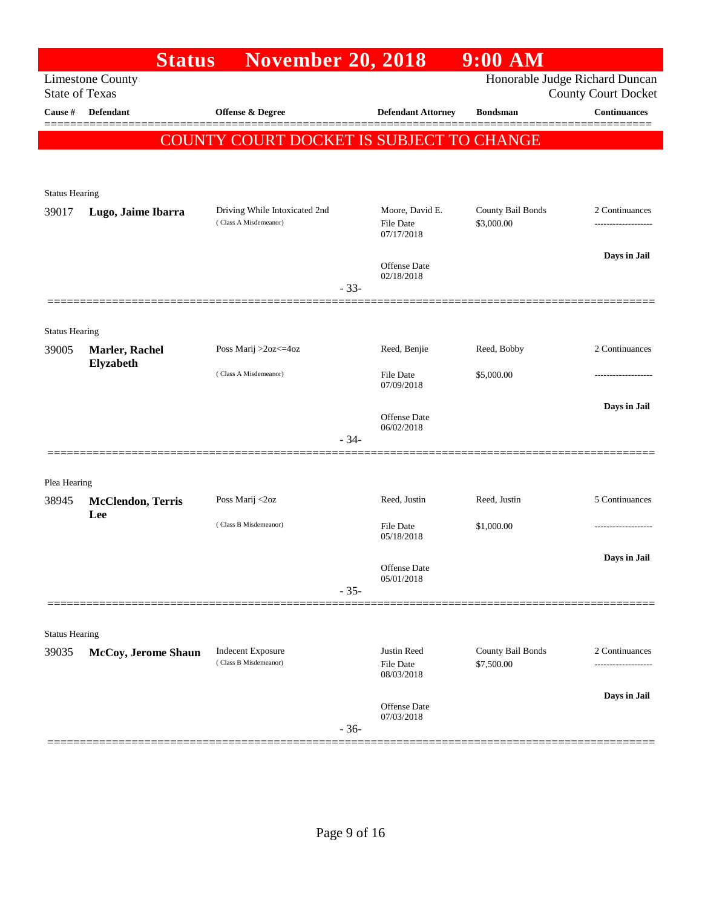|                       | <b>Status</b>               | <b>November 20, 2018</b>                               |                                                   | 9:00 AM                         |                                                              |
|-----------------------|-----------------------------|--------------------------------------------------------|---------------------------------------------------|---------------------------------|--------------------------------------------------------------|
| <b>State of Texas</b> | <b>Limestone County</b>     |                                                        |                                                   |                                 | Honorable Judge Richard Duncan<br><b>County Court Docket</b> |
| Cause #               | <b>Defendant</b>            | <b>Offense &amp; Degree</b>                            | <b>Defendant Attorney</b>                         | <b>Bondsman</b>                 | <b>Continuances</b>                                          |
|                       |                             | COUNTY COURT DOCKET IS SUBJECT TO CHANGE               |                                                   |                                 |                                                              |
|                       |                             |                                                        |                                                   |                                 |                                                              |
| <b>Status Hearing</b> |                             |                                                        |                                                   |                                 |                                                              |
| 39017                 | Lugo, Jaime Ibarra          | Driving While Intoxicated 2nd<br>(Class A Misdemeanor) | Moore, David E.<br><b>File Date</b><br>07/17/2018 | County Bail Bonds<br>\$3,000.00 | 2 Continuances<br>------------------                         |
|                       |                             |                                                        | <b>Offense Date</b><br>02/18/2018                 |                                 | Days in Jail                                                 |
|                       |                             | $-33-$                                                 |                                                   |                                 |                                                              |
| <b>Status Hearing</b> |                             |                                                        |                                                   |                                 |                                                              |
| 39005                 | Marler, Rachel<br>Elyzabeth | Poss Marij >2oz<=4oz                                   | Reed, Benjie                                      | Reed, Bobby                     | 2 Continuances                                               |
|                       |                             | (Class A Misdemeanor)                                  | <b>File Date</b><br>07/09/2018                    | \$5,000.00                      |                                                              |
|                       |                             |                                                        | <b>Offense Date</b><br>06/02/2018                 |                                 | Days in Jail                                                 |
|                       |                             | $-34-$                                                 |                                                   |                                 |                                                              |
| Plea Hearing          |                             |                                                        |                                                   |                                 |                                                              |
| 38945                 | <b>McClendon, Terris</b>    | Poss Marij <2oz                                        | Reed, Justin                                      | Reed, Justin                    | 5 Continuances                                               |
|                       | Lee                         | (Class B Misdemeanor)                                  | <b>File Date</b><br>05/18/2018                    | \$1,000.00                      |                                                              |
|                       |                             |                                                        | Offense Date                                      |                                 | Days in Jail                                                 |
|                       |                             | $-35-$                                                 | 05/01/2018                                        |                                 |                                                              |
|                       |                             |                                                        |                                                   |                                 |                                                              |
| <b>Status Hearing</b> |                             |                                                        |                                                   |                                 |                                                              |
| 39035                 | McCoy, Jerome Shaun         | Indecent Exposure<br>(Class B Misdemeanor)             | Justin Reed<br><b>File Date</b><br>08/03/2018     | County Bail Bonds<br>\$7,500.00 | 2 Continuances<br>-----------------                          |
|                       |                             |                                                        | <b>Offense</b> Date                               |                                 | Days in Jail                                                 |
|                       |                             | $-36-$                                                 | 07/03/2018                                        |                                 |                                                              |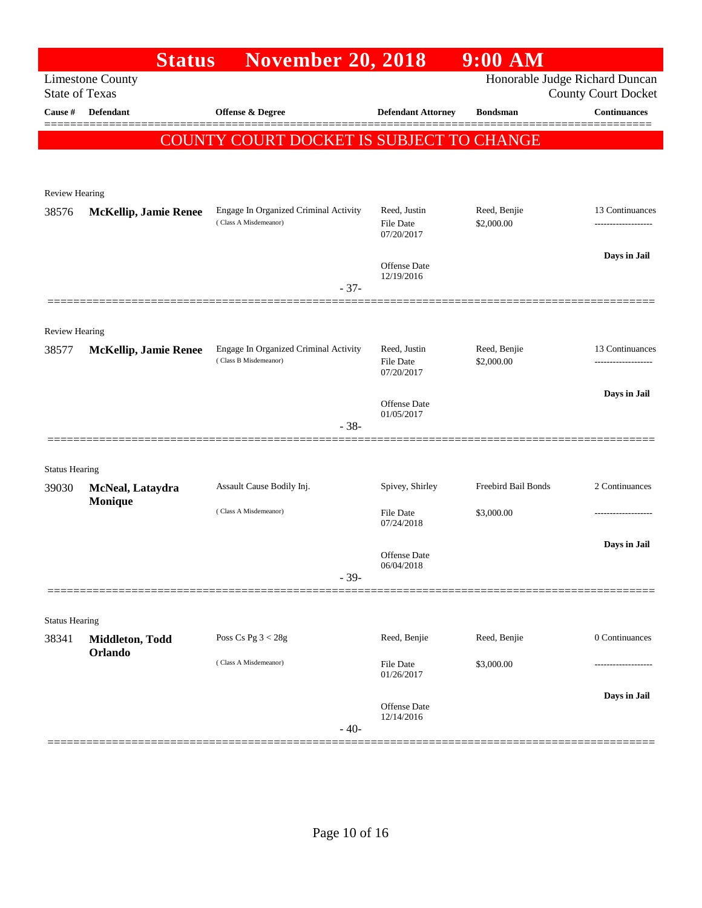|                                | <b>Status</b>                | <b>November 20, 2018</b>                                       |                                  | 9:00 AM                    |                                                              |
|--------------------------------|------------------------------|----------------------------------------------------------------|----------------------------------|----------------------------|--------------------------------------------------------------|
| <b>State of Texas</b>          | <b>Limestone County</b>      |                                                                |                                  |                            | Honorable Judge Richard Duncan<br><b>County Court Docket</b> |
| Cause #                        | <b>Defendant</b>             | <b>Offense &amp; Degree</b>                                    | <b>Defendant Attorney</b>        | <b>Bondsman</b>            | <b>Continuances</b>                                          |
|                                |                              | COUNTY COURT DOCKET IS SUBJECT TO CHANGE                       |                                  |                            |                                                              |
|                                |                              |                                                                |                                  |                            |                                                              |
| <b>Review Hearing</b>          |                              |                                                                |                                  |                            |                                                              |
| 38576                          | McKellip, Jamie Renee        | Engage In Organized Criminal Activity<br>(Class A Misdemeanor) | Reed, Justin<br><b>File Date</b> | Reed, Benjie<br>\$2,000.00 | 13 Continuances<br>-------------------                       |
|                                |                              |                                                                | 07/20/2017                       |                            |                                                              |
|                                |                              | $-37-$                                                         | Offense Date<br>12/19/2016       |                            | Days in Jail                                                 |
|                                |                              |                                                                |                                  |                            |                                                              |
| Review Hearing                 |                              |                                                                |                                  |                            |                                                              |
| 38577                          | <b>McKellip, Jamie Renee</b> | Engage In Organized Criminal Activity<br>(Class B Misdemeanor) | Reed, Justin<br>File Date        | Reed, Benjie<br>\$2,000.00 | 13 Continuances<br>------------------                        |
|                                |                              |                                                                | 07/20/2017                       |                            |                                                              |
|                                |                              |                                                                | Offense Date<br>01/05/2017       |                            | Days in Jail                                                 |
|                                |                              | $-38-$                                                         |                                  |                            |                                                              |
|                                |                              |                                                                |                                  |                            |                                                              |
| <b>Status Hearing</b><br>39030 | McNeal, Lataydra             | Assault Cause Bodily Inj.                                      | Spivey, Shirley                  | Freebird Bail Bonds        | 2 Continuances                                               |
|                                | Monique                      | (Class A Misdemeanor)                                          | <b>File Date</b>                 | \$3,000.00                 | ------------------                                           |
|                                |                              |                                                                | 07/24/2018                       |                            |                                                              |
|                                |                              |                                                                | Offense Date                     |                            | Days in Jail                                                 |
|                                |                              | $-39-$                                                         | 06/04/2018                       |                            |                                                              |
|                                |                              |                                                                |                                  |                            |                                                              |
| <b>Status Hearing</b>          |                              | Poss Cs Pg $3 < 28g$                                           |                                  |                            | 0 Continuances                                               |
| 38341                          | Middleton, Todd<br>Orlando   |                                                                | Reed, Benjie                     | Reed, Benjie               |                                                              |
|                                |                              | (Class A Misdemeanor)                                          | <b>File Date</b><br>01/26/2017   | \$3,000.00                 |                                                              |
|                                |                              |                                                                | Offense Date<br>12/14/2016       |                            | Days in Jail                                                 |
|                                |                              | $-40-$                                                         |                                  |                            |                                                              |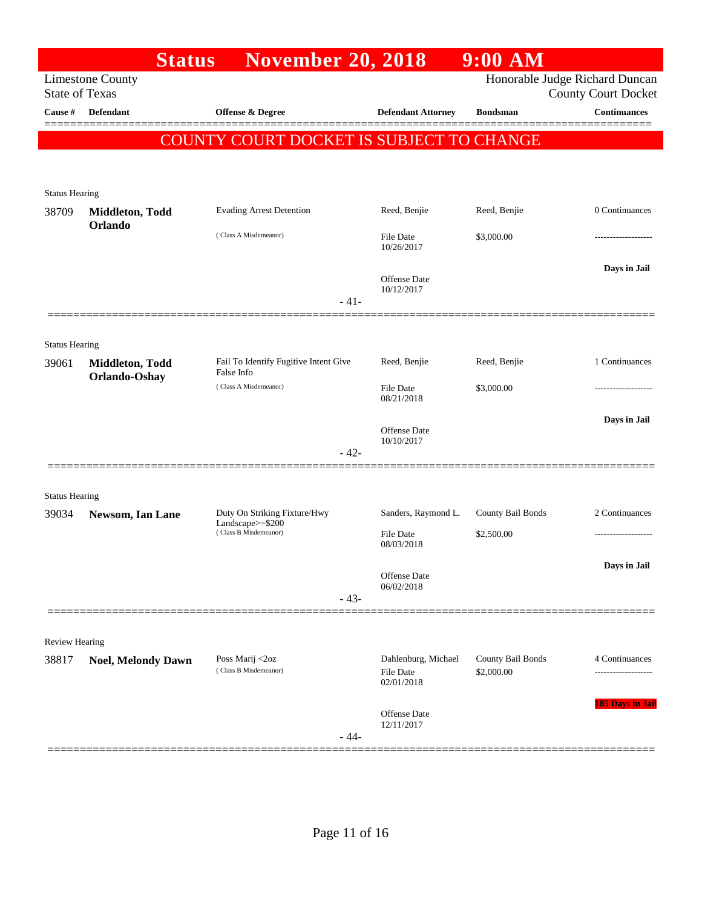| <b>Limestone County</b>                  | <b>November 20, 2018</b>                              |                                                             |                                                 |                                                                      |
|------------------------------------------|-------------------------------------------------------|-------------------------------------------------------------|-------------------------------------------------|----------------------------------------------------------------------|
| <b>State of Texas</b>                    |                                                       |                                                             |                                                 | Honorable Judge Richard Duncan<br><b>County Court Docket</b>         |
| <b>Defendant</b>                         | <b>Offense &amp; Degree</b>                           | <b>Defendant Attorney</b>                                   | <b>Bondsman</b>                                 | <b>Continuances</b>                                                  |
|                                          |                                                       |                                                             |                                                 |                                                                      |
|                                          |                                                       |                                                             |                                                 |                                                                      |
|                                          |                                                       |                                                             |                                                 |                                                                      |
| <b>Status Hearing</b>                    |                                                       |                                                             |                                                 |                                                                      |
| Middleton, Todd                          | <b>Evading Arrest Detention</b>                       | Reed, Benjie                                                | Reed, Benjie                                    | 0 Continuances                                                       |
|                                          | (Class A Misdemeanor)                                 | <b>File Date</b><br>10/26/2017                              | \$3,000.00                                      |                                                                      |
|                                          |                                                       | <b>Offense Date</b><br>10/12/2017                           |                                                 | Days in Jail                                                         |
|                                          | $-41-$                                                |                                                             |                                                 |                                                                      |
|                                          |                                                       |                                                             |                                                 |                                                                      |
| <b>Status Hearing</b><br>Middleton, Todd | Fail To Identify Fugitive Intent Give                 | Reed, Benjie                                                | Reed, Benjie                                    | 1 Continuances                                                       |
|                                          | (Class A Misdemeanor)                                 | <b>File Date</b><br>08/21/2018                              | \$3,000.00                                      |                                                                      |
|                                          | $-42-$                                                | Offense Date<br>10/10/2017                                  |                                                 | Days in Jail                                                         |
|                                          |                                                       |                                                             |                                                 |                                                                      |
| <b>Status Hearing</b>                    |                                                       |                                                             |                                                 |                                                                      |
| Newsom, Ian Lane                         | Duty On Striking Fixture/Hwy                          | Sanders, Raymond L.                                         | County Bail Bonds                               | 2 Continuances                                                       |
|                                          | (Class B Misdemeanor)                                 | <b>File Date</b>                                            | \$2,500.00                                      |                                                                      |
|                                          |                                                       |                                                             |                                                 | Days in Jail                                                         |
|                                          |                                                       | Offense Date                                                |                                                 |                                                                      |
|                                          | $-43-$                                                |                                                             |                                                 |                                                                      |
|                                          |                                                       |                                                             |                                                 |                                                                      |
| Review Hearing                           |                                                       |                                                             |                                                 |                                                                      |
|                                          | (Class B Misdemeanor)                                 | <b>File Date</b><br>02/01/2018                              | \$2,000.00                                      | 4 Continuances                                                       |
|                                          |                                                       | <b>Offense Date</b><br>12/11/2017                           |                                                 | <b>185 Days in Jail</b>                                              |
|                                          | Orlando<br>Orlando-Oshay<br><b>Noel, Melondy Dawn</b> | False Info<br>Landscape>=\$200<br>Poss Marij <2oz<br>$-44-$ | 08/03/2018<br>06/02/2018<br>Dahlenburg, Michael | <b>COUNTY COURT DOCKET IS SUBJECT TO CHANGE</b><br>County Bail Bonds |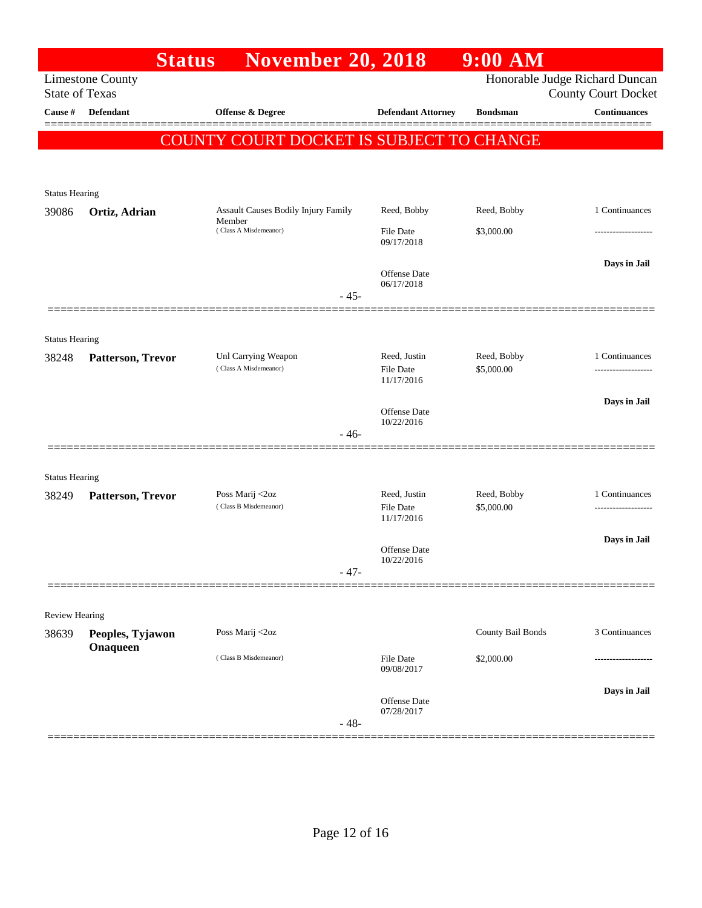|                                | <b>Status</b>                | <b>November 20, 2018</b>                      |                                   | $9:00$ AM         |                                                              |
|--------------------------------|------------------------------|-----------------------------------------------|-----------------------------------|-------------------|--------------------------------------------------------------|
| <b>State of Texas</b>          | <b>Limestone County</b>      |                                               |                                   |                   | Honorable Judge Richard Duncan<br><b>County Court Docket</b> |
| Cause #                        | Defendant                    | Offense & Degree                              | <b>Defendant Attorney</b>         | <b>Bondsman</b>   | <b>Continuances</b>                                          |
|                                |                              | COUNTY COURT DOCKET IS SUBJECT TO CHANGE      |                                   |                   |                                                              |
|                                |                              |                                               |                                   |                   |                                                              |
|                                |                              |                                               |                                   |                   |                                                              |
| <b>Status Hearing</b>          |                              |                                               |                                   |                   |                                                              |
| 39086                          | Ortiz, Adrian                | Assault Causes Bodily Injury Family<br>Member | Reed, Bobby                       | Reed, Bobby       | 1 Continuances                                               |
|                                |                              | (Class A Misdemeanor)                         | File Date<br>09/17/2018           | \$3,000.00        |                                                              |
|                                |                              |                                               |                                   |                   | Days in Jail                                                 |
|                                |                              |                                               | Offense Date<br>06/17/2018        |                   |                                                              |
|                                |                              | $-45-$                                        |                                   |                   |                                                              |
| <b>Status Hearing</b>          |                              |                                               |                                   |                   |                                                              |
| 38248                          | Patterson, Trevor            | Unl Carrying Weapon                           | Reed, Justin                      | Reed, Bobby       | 1 Continuances                                               |
|                                |                              | (Class A Misdemeanor)                         | File Date<br>11/17/2016           | \$5,000.00        |                                                              |
|                                |                              |                                               |                                   |                   | Days in Jail                                                 |
|                                |                              |                                               | Offense Date<br>10/22/2016        |                   |                                                              |
|                                |                              | $-46-$                                        |                                   |                   |                                                              |
|                                |                              |                                               |                                   |                   |                                                              |
| <b>Status Hearing</b><br>38249 | Patterson, Trevor            | Poss Marij <2oz                               | Reed, Justin                      | Reed, Bobby       | 1 Continuances                                               |
|                                |                              | (Class B Misdemeanor)                         | File Date                         | \$5,000.00        |                                                              |
|                                |                              |                                               | 11/17/2016                        |                   | Days in Jail                                                 |
|                                |                              |                                               | Offense Date<br>10/22/2016        |                   |                                                              |
|                                |                              | - 47-                                         |                                   |                   |                                                              |
|                                |                              |                                               |                                   |                   |                                                              |
| <b>Review Hearing</b>          |                              |                                               |                                   |                   |                                                              |
| 38639                          | Peoples, Tyjawon<br>Onaqueen | Poss Marij <2oz                               |                                   | County Bail Bonds | 3 Continuances                                               |
|                                |                              | (Class B Misdemeanor)                         | <b>File Date</b><br>09/08/2017    | \$2,000.00        | --------------                                               |
|                                |                              |                                               |                                   |                   | Days in Jail                                                 |
|                                |                              |                                               | <b>Offense</b> Date<br>07/28/2017 |                   |                                                              |
|                                |                              | $-48-$                                        |                                   |                   |                                                              |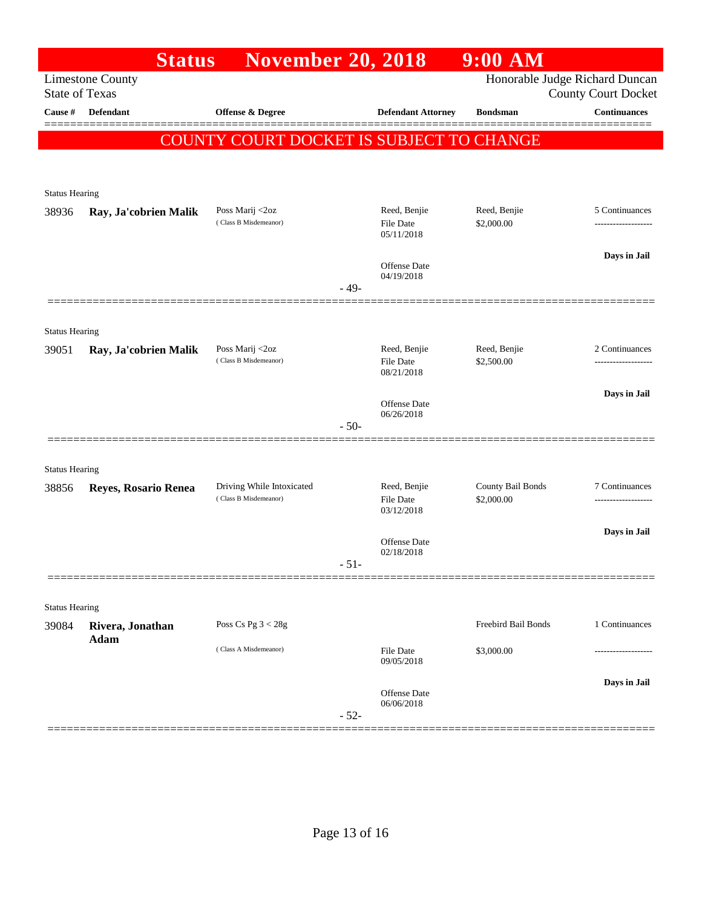|                                                  | <b>Status</b>                   | <b>November 20, 2018</b>                           |                                  | 9:00 AM                         |                                                              |
|--------------------------------------------------|---------------------------------|----------------------------------------------------|----------------------------------|---------------------------------|--------------------------------------------------------------|
| <b>Limestone County</b><br><b>State of Texas</b> |                                 |                                                    |                                  |                                 | Honorable Judge Richard Duncan<br><b>County Court Docket</b> |
| Cause #                                          | <b>Defendant</b>                | Offense & Degree                                   | <b>Defendant Attorney</b>        | <b>Bondsman</b>                 | <b>Continuances</b>                                          |
|                                                  |                                 | COUNTY COURT DOCKET IS SUBJECT TO CHANGE           |                                  |                                 | ======                                                       |
|                                                  |                                 |                                                    |                                  |                                 |                                                              |
| <b>Status Hearing</b>                            |                                 |                                                    |                                  |                                 |                                                              |
| 38936                                            | Ray, Ja'cobrien Malik           | Poss Marij <2oz                                    | Reed, Benjie                     | Reed, Benjie                    | 5 Continuances                                               |
|                                                  |                                 | (Class B Misdemeanor)                              | File Date<br>05/11/2018          | \$2,000.00                      |                                                              |
|                                                  |                                 |                                                    | Offense Date                     |                                 | Days in Jail                                                 |
|                                                  |                                 | $-49-$                                             | 04/19/2018                       |                                 |                                                              |
|                                                  |                                 |                                                    |                                  |                                 |                                                              |
| <b>Status Hearing</b>                            |                                 |                                                    |                                  |                                 |                                                              |
| 39051                                            | Ray, Ja'cobrien Malik           | Poss Marij <2oz<br>(Class B Misdemeanor)           | Reed, Benjie<br><b>File Date</b> | Reed, Benjie<br>\$2,500.00      | 2 Continuances<br>------------------                         |
|                                                  |                                 |                                                    | 08/21/2018                       |                                 |                                                              |
|                                                  |                                 |                                                    | <b>Offense</b> Date              |                                 | Days in Jail                                                 |
|                                                  |                                 | $-50-$                                             | 06/26/2018                       |                                 |                                                              |
|                                                  |                                 |                                                    |                                  |                                 |                                                              |
| <b>Status Hearing</b>                            |                                 |                                                    |                                  |                                 |                                                              |
| 38856                                            | Reyes, Rosario Renea            | Driving While Intoxicated<br>(Class B Misdemeanor) | Reed, Benjie<br><b>File Date</b> | County Bail Bonds<br>\$2,000.00 | 7 Continuances<br>------------------                         |
|                                                  |                                 |                                                    | 03/12/2018                       |                                 |                                                              |
|                                                  |                                 |                                                    | Offense Date<br>02/18/2018       |                                 | Days in Jail                                                 |
|                                                  |                                 | $-51-$                                             |                                  |                                 |                                                              |
|                                                  |                                 |                                                    |                                  |                                 |                                                              |
| <b>Status Hearing</b>                            |                                 | Poss Cs Pg $3 < 28g$                               |                                  | Freebird Bail Bonds             | 1 Continuances                                               |
| 39084                                            | Rivera, Jonathan<br><b>Adam</b> | (Class A Misdemeanor)                              |                                  |                                 |                                                              |
|                                                  |                                 |                                                    | File Date<br>09/05/2018          | \$3,000.00                      |                                                              |
|                                                  |                                 |                                                    | <b>Offense</b> Date              |                                 | Days in Jail                                                 |
|                                                  |                                 | $-52-$                                             | 06/06/2018                       |                                 |                                                              |
|                                                  |                                 |                                                    |                                  |                                 |                                                              |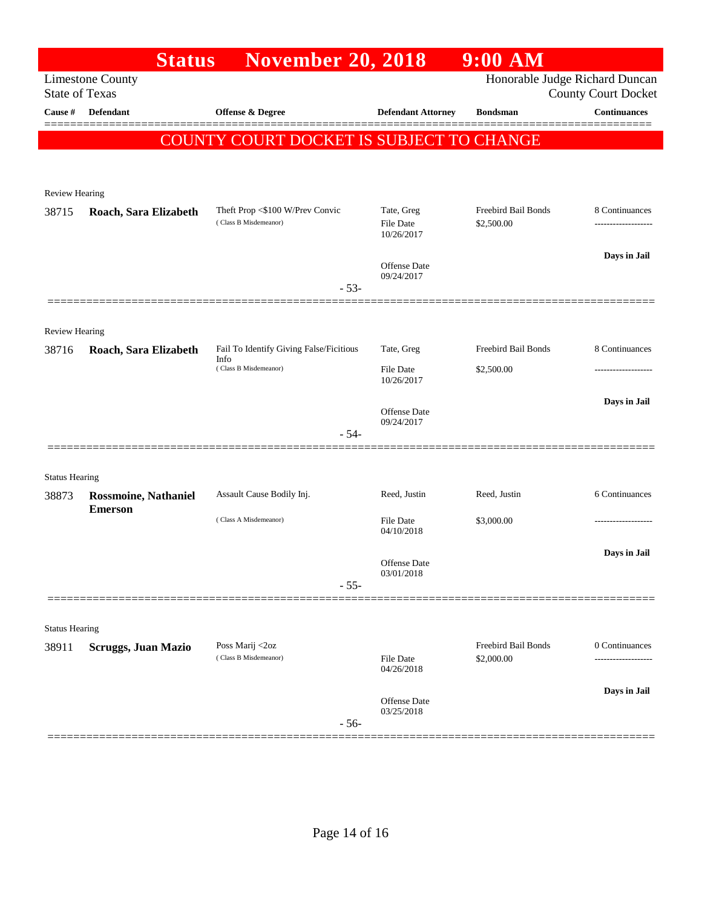|                                | <b>Status</b>               | <b>November 20, 2018</b>                                                 |                                | $9:00$ AM                         |                            |
|--------------------------------|-----------------------------|--------------------------------------------------------------------------|--------------------------------|-----------------------------------|----------------------------|
| <b>State of Texas</b>          | <b>Limestone County</b>     |                                                                          |                                | Honorable Judge Richard Duncan    | <b>County Court Docket</b> |
| Cause #                        | <b>Defendant</b>            | <b>Offense &amp; Degree</b>                                              | <b>Defendant Attorney</b>      | <b>Bondsman</b>                   | <b>Continuances</b>        |
|                                |                             | COUNTY COURT DOCKET IS SUBJECT TO CHANGE                                 |                                |                                   |                            |
|                                |                             |                                                                          |                                |                                   |                            |
| Review Hearing                 |                             |                                                                          |                                |                                   |                            |
| 38715                          | Roach, Sara Elizabeth       | Theft Prop <\$100 W/Prev Convic                                          | Tate, Greg                     | Freebird Bail Bonds               | 8 Continuances             |
|                                |                             | (Class B Misdemeanor)                                                    | <b>File Date</b><br>10/26/2017 | \$2,500.00                        |                            |
|                                |                             |                                                                          | Offense Date                   |                                   | Days in Jail               |
|                                |                             | $-53-$                                                                   | 09/24/2017                     |                                   |                            |
|                                |                             |                                                                          |                                |                                   |                            |
| <b>Review Hearing</b>          |                             |                                                                          |                                |                                   |                            |
| 38716                          | Roach, Sara Elizabeth       | Fail To Identify Giving False/Ficitious<br>Info<br>(Class B Misdemeanor) | Tate, Greg                     | Freebird Bail Bonds               | 8 Continuances             |
|                                |                             |                                                                          | File Date<br>10/26/2017        | \$2,500.00                        |                            |
|                                |                             |                                                                          |                                |                                   | Days in Jail               |
|                                |                             |                                                                          | Offense Date<br>09/24/2017     |                                   |                            |
|                                |                             | $-54-$                                                                   |                                |                                   |                            |
|                                |                             |                                                                          |                                |                                   |                            |
| <b>Status Hearing</b><br>38873 | <b>Rossmoine, Nathaniel</b> | Assault Cause Bodily Inj.                                                | Reed, Justin                   | Reed, Justin                      | 6 Continuances             |
|                                | <b>Emerson</b>              |                                                                          |                                |                                   |                            |
|                                |                             | (Class A Misdemeanor)                                                    | <b>File Date</b><br>04/10/2018 | \$3,000.00                        |                            |
|                                |                             |                                                                          | Offense Date                   |                                   | Days in Jail               |
|                                |                             | $-55-$                                                                   | 03/01/2018                     |                                   |                            |
|                                |                             |                                                                          |                                |                                   |                            |
| <b>Status Hearing</b>          |                             |                                                                          |                                |                                   |                            |
| 38911                          | <b>Scruggs, Juan Mazio</b>  | Poss Marij <2oz<br>(Class B Misdemeanor)                                 | File Date<br>04/26/2018        | Freebird Bail Bonds<br>\$2,000.00 | 0 Continuances             |
|                                |                             |                                                                          |                                |                                   | -----------------          |
|                                |                             |                                                                          | Offense Date                   |                                   | Days in Jail               |
|                                |                             | $-56-$                                                                   | 03/25/2018                     |                                   |                            |
|                                |                             |                                                                          |                                |                                   |                            |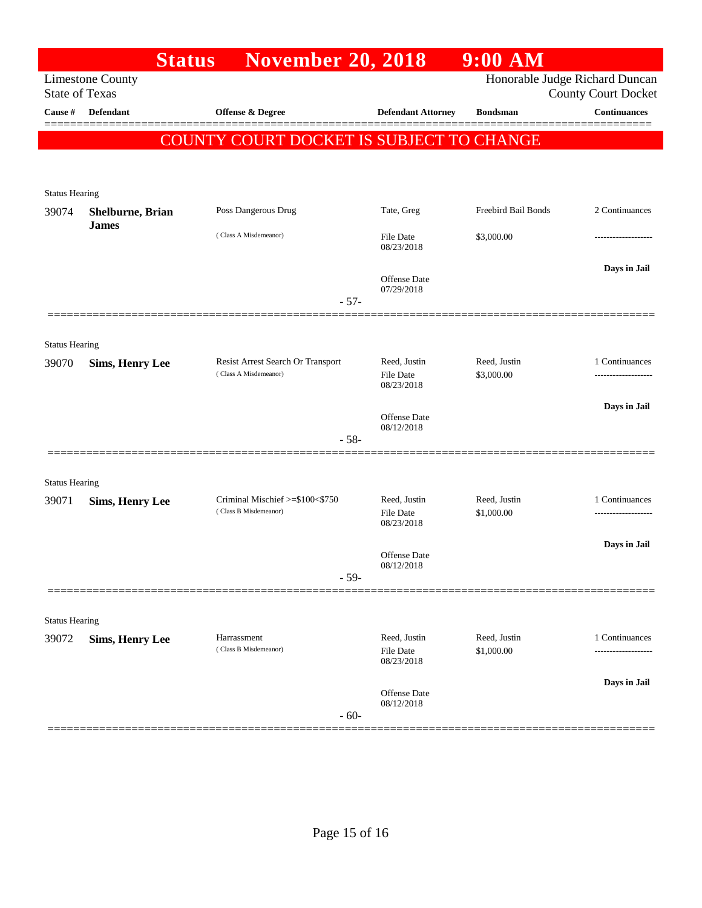|                                                  | <b>Status</b>          | <b>November 20, 2018</b>                                 |                                                | $9:00$ AM                      |                            |
|--------------------------------------------------|------------------------|----------------------------------------------------------|------------------------------------------------|--------------------------------|----------------------------|
| <b>Limestone County</b><br><b>State of Texas</b> |                        |                                                          |                                                | Honorable Judge Richard Duncan | <b>County Court Docket</b> |
| Cause #                                          | <b>Defendant</b>       | Offense & Degree                                         | <b>Defendant Attorney</b>                      | <b>Bondsman</b>                | <b>Continuances</b>        |
|                                                  |                        | COUNTY COURT DOCKET IS SUBJECT TO CHANGE                 |                                                |                                |                            |
|                                                  |                        |                                                          |                                                |                                |                            |
| <b>Status Hearing</b>                            |                        |                                                          |                                                |                                |                            |
| 39074                                            | Shelburne, Brian       | Poss Dangerous Drug                                      | Tate, Greg                                     | Freebird Bail Bonds            | 2 Continuances             |
|                                                  | <b>James</b>           | (Class A Misdemeanor)                                    | <b>File Date</b><br>08/23/2018                 | \$3,000.00                     |                            |
|                                                  |                        |                                                          | <b>Offense Date</b><br>07/29/2018              |                                | Days in Jail               |
|                                                  |                        | $-57-$                                                   |                                                |                                |                            |
|                                                  |                        |                                                          |                                                |                                |                            |
| <b>Status Hearing</b><br>39070                   | <b>Sims, Henry Lee</b> | Resist Arrest Search Or Transport                        | Reed. Justin                                   | Reed, Justin                   | 1 Continuances             |
|                                                  |                        | (Class A Misdemeanor)                                    | <b>File Date</b><br>08/23/2018                 | \$3,000.00                     | ------------------         |
|                                                  |                        |                                                          | <b>Offense Date</b>                            |                                | Days in Jail               |
|                                                  |                        | $-58-$                                                   | 08/12/2018                                     |                                |                            |
|                                                  |                        |                                                          |                                                |                                |                            |
| <b>Status Hearing</b>                            |                        |                                                          |                                                |                                |                            |
| 39071                                            | <b>Sims, Henry Lee</b> | Criminal Mischief >=\$100<\$750<br>(Class B Misdemeanor) | Reed, Justin<br><b>File Date</b>               | Reed, Justin<br>\$1,000.00     | 1 Continuances<br>.        |
|                                                  |                        |                                                          | 08/23/2018                                     |                                |                            |
|                                                  |                        |                                                          | <b>Offense Date</b>                            |                                | Days in Jail               |
|                                                  |                        | $-59-$                                                   | 08/12/2018                                     |                                |                            |
|                                                  |                        |                                                          |                                                |                                |                            |
| <b>Status Hearing</b>                            |                        |                                                          |                                                |                                |                            |
| 39072                                            | <b>Sims, Henry Lee</b> | Harrassment<br>(Class B Misdemeanor)                     | Reed, Justin<br><b>File Date</b><br>08/23/2018 | Reed, Justin<br>\$1,000.00     | 1 Continuances<br>.        |
|                                                  |                        |                                                          | <b>Offense Date</b>                            |                                | Days in Jail               |
|                                                  |                        | $-60-$                                                   | 08/12/2018                                     |                                |                            |